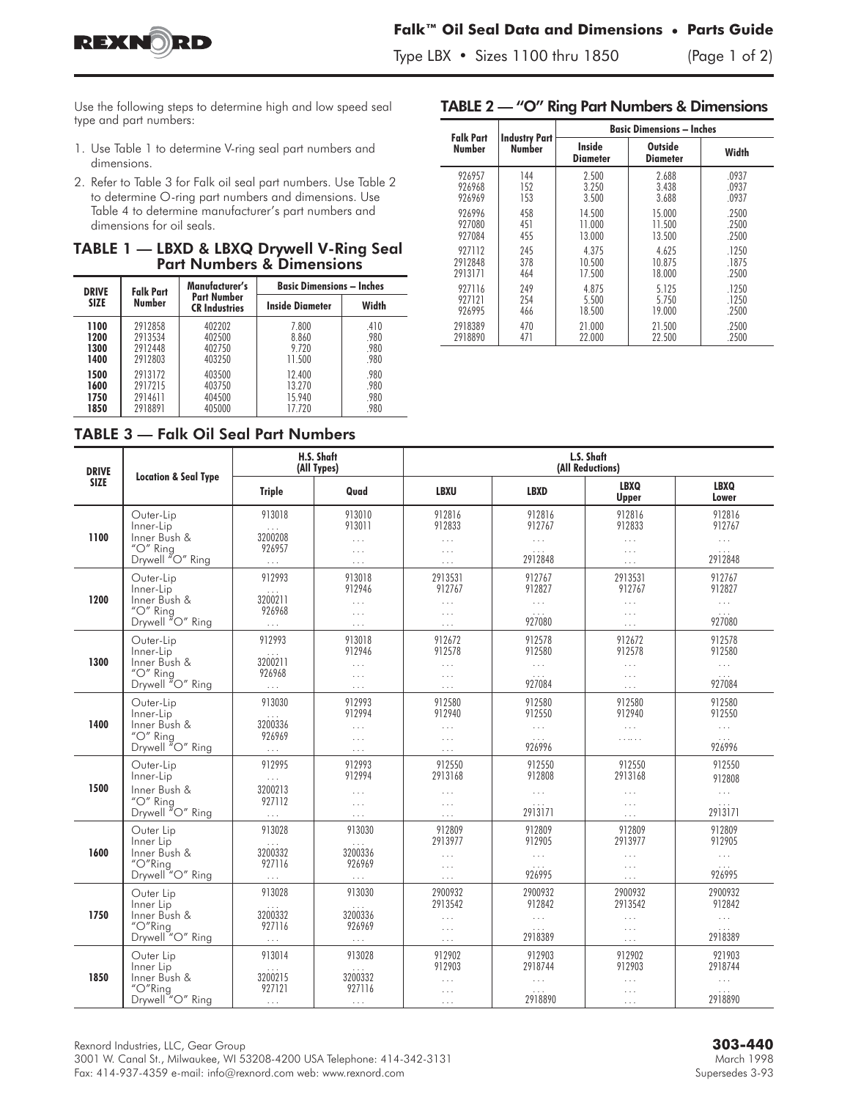



 $T_{\rm F}$  , and  $T_{\rm F}$  is the 100 thru 1850 (Page 1 of 2)

Use the following steps to determine high and low speed seal type and part numbers:

- 1. Use Table 1 to determine V-ring seal part numbers and dimensions.
- 2. Refer to Table 3 for Falk oil seal part numbers. Use Table 2 to determine O-ring part numbers and dimensions. Use Table 4 to determine manufacturer's part numbers and dimensions for oil seals.

| TABLE 1 - LBXD & LBXQ Drywell V-Ring Seal |  |  |                                      |  |
|-------------------------------------------|--|--|--------------------------------------|--|
|                                           |  |  | <b>Part Numbers &amp; Dimensions</b> |  |

| <b>DRIVE</b>                 | <b>Falk Part</b>                         | Manufacturer's                       | <b>Basic Dimensions – Inches</b>     |                              |  |  |  |
|------------------------------|------------------------------------------|--------------------------------------|--------------------------------------|------------------------------|--|--|--|
| <b>SIZE</b>                  | Number                                   | Part Number<br><b>CR Industries</b>  | <b>Inside Diameter</b>               | Width                        |  |  |  |
| 1100<br>1200<br>1300<br>1400 | 2912858<br>2913534<br>2912448<br>2912803 | 402202<br>402500<br>402750<br>403250 | 7.800<br>8.860<br>9.720<br>11.500    | .410<br>.980<br>.980<br>.980 |  |  |  |
| 1500<br>1600<br>1750<br>1850 | 2913172<br>2917215<br>2914611<br>2918891 | 403500<br>403750<br>404500<br>405000 | 12.400<br>13.270<br>15.940<br>17.720 | .980<br>.980<br>.980<br>.980 |  |  |  |

|  | <b>Falk Part</b><br>Number |                                | <b>Basic Dimensions - Inches</b> |                                   |       |  |  |  |
|--|----------------------------|--------------------------------|----------------------------------|-----------------------------------|-------|--|--|--|
|  |                            | <b>Industry Part</b><br>Number | <b>Inside</b><br>Diameter        | <b>Outside</b><br><b>Diameter</b> | Width |  |  |  |
|  | 926957                     | 144                            | 2.500                            | 2.688                             | .0937 |  |  |  |
|  | 926968                     | 152                            | 3.250                            | 3.438                             | .0937 |  |  |  |
|  | 926969                     | 153                            | 3.500                            | 3.688                             | .0937 |  |  |  |
|  | 926996                     | 458                            | 14.500                           | 15.000                            | .2500 |  |  |  |
|  | 927080                     | 451                            | 11.000                           | 11.500                            | .2500 |  |  |  |
|  | 927084                     | 455                            | 13.000                           | 13.500                            | .2500 |  |  |  |
|  | 927112                     | 245                            | 4.375                            | 4.625                             | .1250 |  |  |  |
|  | 2912848                    | 378                            | 10.500                           | 10.875                            | .1875 |  |  |  |
|  | 2913171                    | 464                            | 17.500                           | 18.000                            | .2500 |  |  |  |
|  | 927116                     | 249                            | 4.875                            | 5.125                             | .1250 |  |  |  |
|  | 927121                     | 254                            | 5.500                            | 5.750                             | .1250 |  |  |  |
|  | 926995                     | 466                            | 18.500                           | 19.000                            | .2500 |  |  |  |
|  | 2918389                    | 470                            | 21.000                           | 21.500                            | .2500 |  |  |  |
|  | 2918890                    | 471                            | 22.000                           | 22.500                            | .2500 |  |  |  |

TABLE 2 — "O" Ring Part Numbers & Dimensions

| <b>DRIVE</b> | <b>Location &amp; Seal Type</b>                                                                          | H.S. Shaft<br>(All Types)                                                     |                                                       | L.S. Shaft<br>(All Reductions)                         |                                                       |                                                        |                                                                        |
|--------------|----------------------------------------------------------------------------------------------------------|-------------------------------------------------------------------------------|-------------------------------------------------------|--------------------------------------------------------|-------------------------------------------------------|--------------------------------------------------------|------------------------------------------------------------------------|
| <b>SIZE</b>  |                                                                                                          | <b>Triple</b>                                                                 | Quad                                                  | <b>LBXU</b>                                            | <b>LBXD</b>                                           | <b>LBXQ</b><br>Upper                                   | <b>LBXQ</b><br>Lower                                                   |
| 1100         | Outer-Lip<br>Inner-Lip<br>Inner Bush &<br>"O" Ring<br>Drywell "O" Ring                                   | 913018<br>$\ldots$<br>3200208<br>926957<br>$\ldots$                           | 913010<br>913011<br>$\cdots$<br>$\cdots$<br>$\cdots$  | 912816<br>912833<br>$\ldots$<br>$\ldots$<br>$\cdots$   | 912816<br>912767<br>$\ldots$<br>$\ldots$<br>2912848   | 912816<br>912833<br>$\ldots$<br>$\ldots$<br>$\cdots$   | 912816<br>912767<br>$\ldots$<br>$\ldots$<br>2912848                    |
| 1200         | Outer-Lip<br>Inner-Lip<br>Inner Bush &<br>"O" Ring<br>Drywell "O" Ring                                   | 912993<br>3200211<br>926968<br>$\ldots$                                       | 913018<br>912946<br>$\cdots$<br>$\ldots$<br>$\ldots$  | 2913531<br>912767<br>$\ldots$<br>$\cdots$<br>$\cdots$  | 912767<br>912827<br>$\cdots$<br>$\ldots$<br>927080    | 2913531<br>912767<br>$\ldots$<br>$\cdots$<br>$\cdots$  | 912767<br>912827<br>$\cdots$<br>$\sim$ $\sim$ $\sim$<br>927080         |
| 1300         | Outer-Lip<br>Inner-Lip<br>Inner Bush &<br>"O" Ring<br>Drywell "O" Ring                                   | 912993<br>$\ldots$<br>3200211<br>926968<br>$\ldots$                           | 913018<br>912946<br>$\ldots$<br>$\ldots$<br>$\ldots$  | 912672<br>912578<br>$\ldots$ .<br>$\cdots$<br>$\cdots$ | 912578<br>912580<br>$\cdots$<br>$\ldots$<br>927084    | 912672<br>912578<br>$\ldots$<br>$\ldots$<br>$\ldots$   | 912578<br>912580<br>$\cdots$<br>$\ldots$<br>927084                     |
| 1400         | Outer-Lip<br>Inner-Lip<br>Inner Bush &<br>"O" Ring<br>Drywell "O" Ring                                   | 913030<br>3200336<br>926969<br>$\ldots$                                       | 912993<br>912994<br>$\ldots$<br>$\ldots$<br>$\ldots$  | 912580<br>912940<br>$\ldots$<br>$\ldots$<br>$\ldots$   | 912580<br>912550<br>$\ldots$<br>$\ldots$<br>926996    | 912580<br>912940<br>$\ldots$<br>.                      | 912580<br>912550<br>$\ldots$<br>0.00000000                             |
| 1500         | Outer-Lip<br>Inner-Lip<br>Inner Bush &<br>" $O$ " Ring<br>Drywell "O" Ring                               | 912995<br>$\mathbb{Z}^{\mathbb{Z}^{\times}}$<br>3200213<br>927112<br>$\cdots$ | 912993<br>912994<br>.<br>$\ldots$<br>$\cdots$         | 912550<br>2913168<br>$\ldots$<br>$\ldots$              | 912550<br>912808<br>$\ldots$<br>$\sim 100$<br>2913171 | 912550<br>2913168<br>$\cdots$<br>$\ldots$<br>$\ldots$  | 912550<br>912808<br>$\ldots$<br>$\mathbb{Z}$ . $\mathbb{Z}$<br>2913171 |
| 1600         | Outer Lip<br>Inner Lip<br>Inner Bush &<br>"O"Ring<br>Drywell <sup>"</sup> O" Ring                        | 913028<br>$\ldots$<br>3200332<br>927116<br>$\ldots$                           | 913030<br>$\ldots$<br>3200336<br>926969<br>$\ldots$   | 912809<br>2913977<br>$\cdots$<br>$\cdots$<br>$\cdots$  | 912809<br>912905<br>$\ldots$<br>926995                | 912809<br>2913977<br>$\ldots$<br>$\ldots$<br>$\cdots$  | 912809<br>912905<br>$\sim 100$                                         |
| 1750         | Outer Lip<br>Inner Lip<br>Inner Bush &<br>$^{\prime\prime}$ O $^{\prime\prime}$ Ring<br>Drywell "O" Ring | 913028<br>$\ldots$<br>3200332<br>927116<br>$\ldots$                           | 913030<br>$\ldots$ .<br>3200336<br>926969<br>$\cdots$ | 2900932<br>2913542<br>$\ldots$<br>$\ldots$<br>$\ldots$ | 2900932<br>912842<br>$\ldots$<br>$\ldots$<br>2918389  | 2900932<br>2913542<br>$\ldots$<br>$\ldots$<br>$\ldots$ | 2900932<br>912842<br>$\ldots$<br>$\ldots$<br>2918389                   |
| 1850         | Outer Lip<br>Inner Lip<br>Inner Bush &<br>"O"Ring<br>Drywell "O" Ring                                    | 913014<br>3200215<br>927121<br>$\ldots$                                       | 913028<br>3200332<br>927116<br>$\cdots$               | 912902<br>912903<br>$\cdots$<br>$\cdots$<br>$\cdots$   | 912903<br>2918744<br>$\ldots$<br>2918890              | 912902<br>912903<br>$\ldots$<br>$\cdots$<br>$\ldots$   | 921903<br>2918744<br>$\ldots$<br>2918890                               |